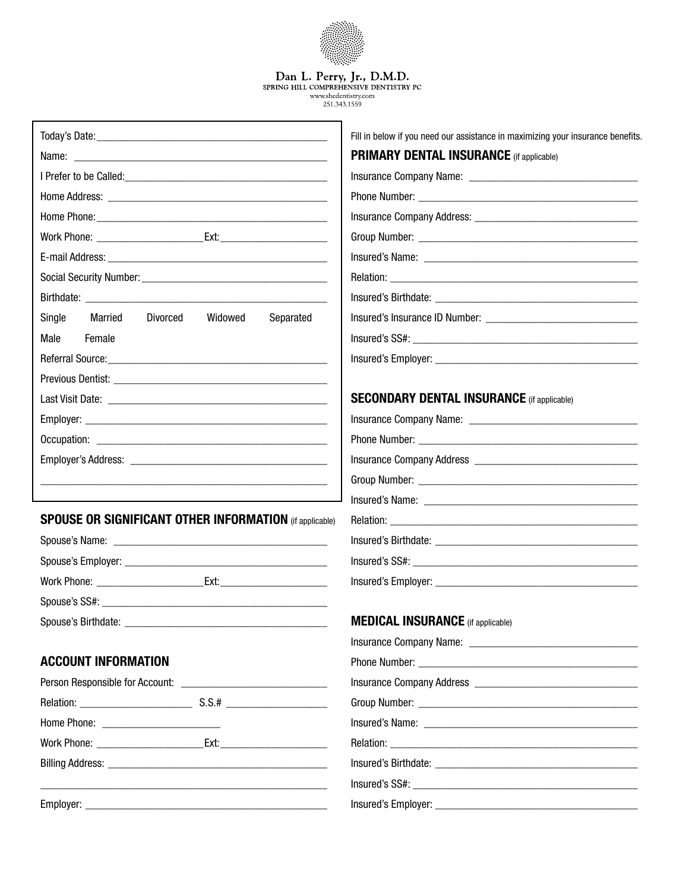|                                                                | Dan L. Perry, Jr., D.M.D.<br>SPRING HILL COMPREHENSIVE DENTISTRY PC             |
|----------------------------------------------------------------|---------------------------------------------------------------------------------|
|                                                                | www.shcdentistrv.com<br>251.343.1559                                            |
|                                                                | Fill in below if you need our assistance in maximizing your insurance benefits. |
|                                                                | <b>PRIMARY DENTAL INSURANCE</b> (if applicable)                                 |
|                                                                |                                                                                 |
|                                                                |                                                                                 |
|                                                                |                                                                                 |
|                                                                |                                                                                 |
|                                                                |                                                                                 |
|                                                                |                                                                                 |
|                                                                |                                                                                 |
| Single<br>Married<br>Divorced<br>Widowed<br>Separated          |                                                                                 |
| Male<br>Female                                                 |                                                                                 |
|                                                                |                                                                                 |
|                                                                |                                                                                 |
|                                                                | <b>SECONDARY DENTAL INSURANCE</b> (if applicable)                               |
|                                                                |                                                                                 |
|                                                                |                                                                                 |
|                                                                |                                                                                 |
|                                                                |                                                                                 |
|                                                                |                                                                                 |
| <b>SPOUSE OR SIGNIFICANT OTHER INFORMATION</b> (if applicable) |                                                                                 |
|                                                                |                                                                                 |
|                                                                |                                                                                 |
|                                                                |                                                                                 |
|                                                                |                                                                                 |
|                                                                | <b>MEDICAL INSURANCE</b> (if applicable)                                        |
|                                                                |                                                                                 |
| <b>ACCOUNT INFORMATION</b>                                     |                                                                                 |
|                                                                |                                                                                 |
|                                                                |                                                                                 |
|                                                                |                                                                                 |
|                                                                |                                                                                 |
|                                                                |                                                                                 |
|                                                                |                                                                                 |

Employer: \_\_\_\_\_\_\_\_\_\_\_\_\_\_\_\_\_\_\_\_\_\_\_\_\_\_\_\_\_\_\_\_\_\_\_\_\_\_\_\_\_\_\_

Insured's Employer: \_\_\_\_\_\_\_\_\_\_\_\_\_\_\_\_\_\_\_\_\_\_\_\_\_\_\_\_\_\_\_\_\_\_\_\_